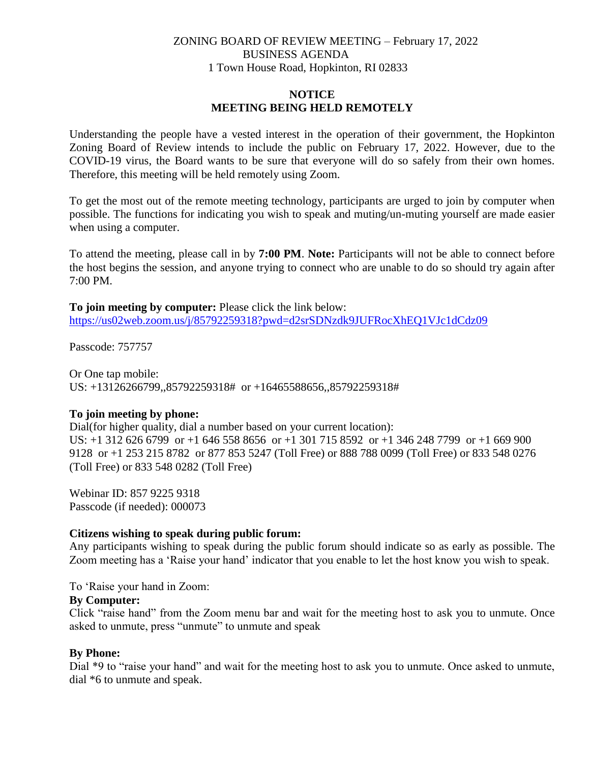# ZONING BOARD OF REVIEW MEETING – February 17, 2022 BUSINESS AGENDA 1 Town House Road, Hopkinton, RI 02833

# **NOTICE MEETING BEING HELD REMOTELY**

Understanding the people have a vested interest in the operation of their government, the Hopkinton Zoning Board of Review intends to include the public on February 17, 2022. However, due to the COVID-19 virus, the Board wants to be sure that everyone will do so safely from their own homes. Therefore, this meeting will be held remotely using Zoom.

To get the most out of the remote meeting technology, participants are urged to join by computer when possible. The functions for indicating you wish to speak and muting/un-muting yourself are made easier when using a computer.

To attend the meeting, please call in by **7:00 PM**. **Note:** Participants will not be able to connect before the host begins the session, and anyone trying to connect who are unable to do so should try again after 7:00 PM.

**To join meeting by computer:** Please click the link below: <https://us02web.zoom.us/j/85792259318?pwd=d2srSDNzdk9JUFRocXhEQ1VJc1dCdz09>

Passcode: 757757

Or One tap mobile: US: +13126266799,,85792259318# or +16465588656,,85792259318#

### **To join meeting by phone:**

Dial(for higher quality, dial a number based on your current location): US: +1 312 626 6799 or +1 646 558 8656 or +1 301 715 8592 or +1 346 248 7799 or +1 669 900 9128 or +1 253 215 8782 or 877 853 5247 (Toll Free) or 888 788 0099 (Toll Free) or 833 548 0276 (Toll Free) or 833 548 0282 (Toll Free)

Webinar ID: 857 9225 9318 Passcode (if needed): 000073

### **Citizens wishing to speak during public forum:**

Any participants wishing to speak during the public forum should indicate so as early as possible. The Zoom meeting has a 'Raise your hand' indicator that you enable to let the host know you wish to speak.

To 'Raise your hand in Zoom:

### **By Computer:**

Click "raise hand" from the Zoom menu bar and wait for the meeting host to ask you to unmute. Once asked to unmute, press "unmute" to unmute and speak

### **By Phone:**

Dial \*9 to "raise your hand" and wait for the meeting host to ask you to unmute. Once asked to unmute, dial \*6 to unmute and speak.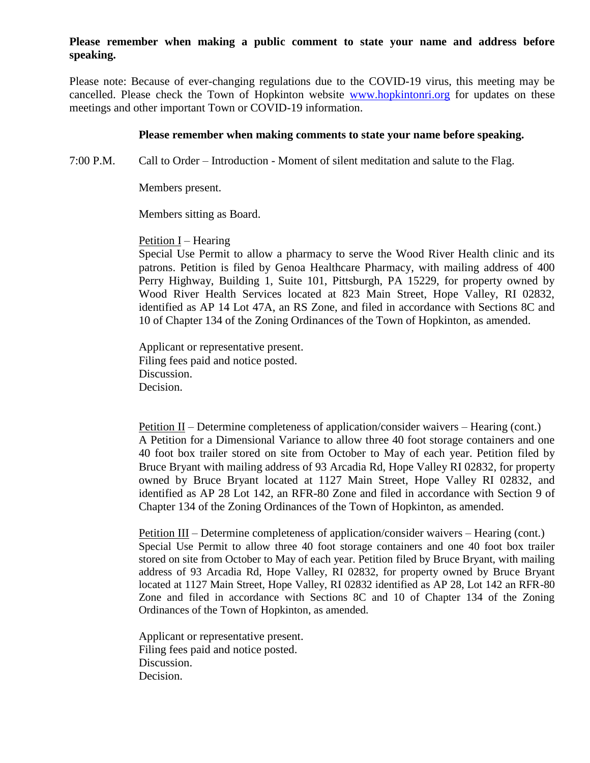### **Please remember when making a public comment to state your name and address before speaking.**

Please note: Because of ever-changing regulations due to the COVID-19 virus, this meeting may be cancelled. Please check the Town of Hopkinton website [www.hopkintonri.org](http://www.hopkintonri.org/) for updates on these meetings and other important Town or COVID-19 information.

#### **Please remember when making comments to state your name before speaking.**

7:00 P.M. Call to Order – Introduction - Moment of silent meditation and salute to the Flag.

Members present.

Members sitting as Board.

Petition I – Hearing

Special Use Permit to allow a pharmacy to serve the Wood River Health clinic and its patrons. Petition is filed by Genoa Healthcare Pharmacy, with mailing address of 400 Perry Highway, Building 1, Suite 101, Pittsburgh, PA 15229, for property owned by Wood River Health Services located at 823 Main Street, Hope Valley, RI 02832, identified as AP 14 Lot 47A, an RS Zone, and filed in accordance with Sections 8C and 10 of Chapter 134 of the Zoning Ordinances of the Town of Hopkinton, as amended.

Applicant or representative present. Filing fees paid and notice posted. Discussion. Decision.

Petition II – Determine completeness of application/consider waivers – Hearing (cont.) A Petition for a Dimensional Variance to allow three 40 foot storage containers and one 40 foot box trailer stored on site from October to May of each year. Petition filed by Bruce Bryant with mailing address of 93 Arcadia Rd, Hope Valley RI 02832, for property owned by Bruce Bryant located at 1127 Main Street, Hope Valley RI 02832, and identified as AP 28 Lot 142, an RFR-80 Zone and filed in accordance with Section 9 of Chapter 134 of the Zoning Ordinances of the Town of Hopkinton, as amended.

Petition III – Determine completeness of application/consider waivers – Hearing (cont.) Special Use Permit to allow three 40 foot storage containers and one 40 foot box trailer stored on site from October to May of each year. Petition filed by Bruce Bryant, with mailing address of 93 Arcadia Rd, Hope Valley, RI 02832, for property owned by Bruce Bryant located at 1127 Main Street, Hope Valley, RI 02832 identified as AP 28, Lot 142 an RFR-80 Zone and filed in accordance with Sections 8C and 10 of Chapter 134 of the Zoning Ordinances of the Town of Hopkinton, as amended.

Applicant or representative present. Filing fees paid and notice posted. Discussion. Decision.